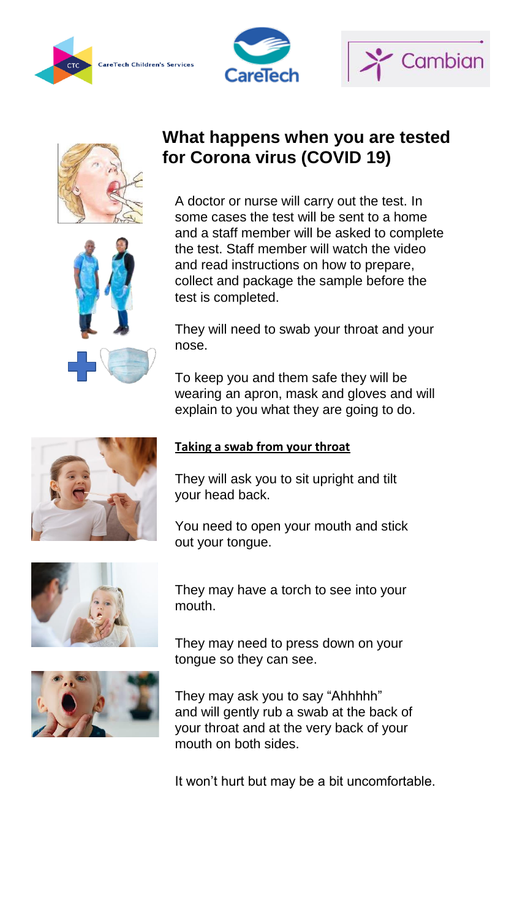









## **What happens when you are tested for Corona virus (COVID 19)**

A doctor or nurse will carry out the test. In some cases the test will be sent to a home and a staff member will be asked to complete the test. Staff member will watch the video and read instructions on how to prepare, collect and package the sample before the test is completed.

They will need to swab your throat and your nose.

To keep you and them safe they will be wearing an apron, mask and gloves and will explain to you what they are going to do.

## **Taking a swab from your throat**

They will ask you to sit upright and tilt your head back.

You need to open your mouth and stick out your tongue.



They may have a torch to see into your mouth.

They may need to press down on your tongue so they can see.

They may ask you to say "Ahhhhh" and will gently rub a swab at the back of your throat and at the very back of your mouth on both sides.

It won't hurt but may be a bit uncomfortable.